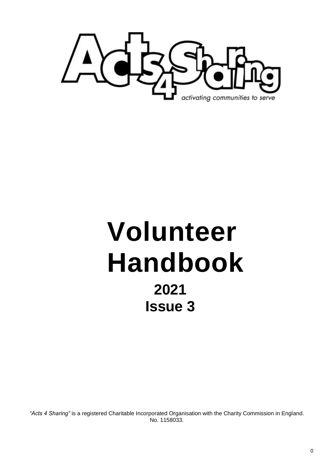

# **Volunteer Handbook 2021 Issue 3**

*"Acts 4 Sharing"* is a registered Charitable Incorporated Organisation with the Charity Commission in England. No. 1158033.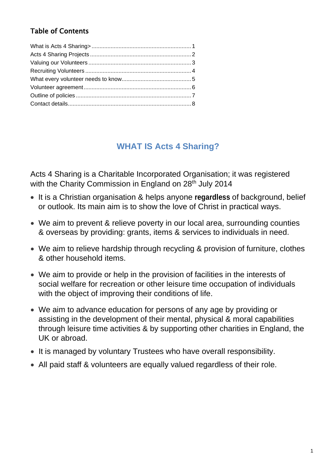## Table of Contents

# **WHAT IS Acts 4 Sharing?**

Acts 4 Sharing is a Charitable Incorporated Organisation; it was registered with the Charity Commission in England on 28<sup>th</sup> July 2014

- It is a Christian organisation & helps anyone **regardless** of background, belief or outlook. Its main aim is to show the love of Christ in practical ways.
- We aim to prevent & relieve poverty in our local area, surrounding counties & overseas by providing: grants, items & services to individuals in need.
- We aim to relieve hardship through recycling & provision of furniture, clothes & other household items.
- We aim to provide or help in the provision of facilities in the interests of social welfare for recreation or other leisure time occupation of individuals with the object of improving their conditions of life.
- We aim to advance education for persons of any age by providing or assisting in the development of their mental, physical & moral capabilities through leisure time activities & by supporting other charities in England, the UK or abroad.
- It is managed by voluntary Trustees who have overall responsibility.
- All paid staff & volunteers are equally valued regardless of their role.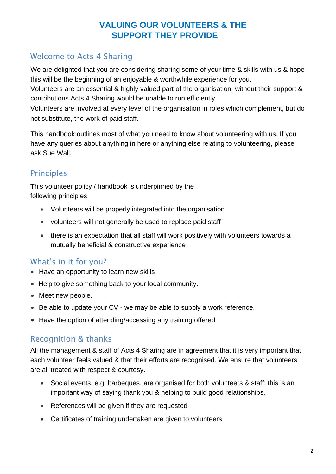# **VALUING OUR VOLUNTEERS & THE SUPPORT THEY PROVIDE**

# Welcome to Acts 4 Sharing

We are delighted that you are considering sharing some of your time & skills with us & hope this will be the beginning of an enjoyable & worthwhile experience for you.

Volunteers are an essential & highly valued part of the organisation; without their support & contributions Acts 4 Sharing would be unable to run efficiently.

Volunteers are involved at every level of the organisation in roles which complement, but do not substitute, the work of paid staff.

This handbook outlines most of what you need to know about volunteering with us. If you have any queries about anything in here or anything else relating to volunteering, please ask Sue Wall.

# Principles

This volunteer policy / handbook is underpinned by the following principles:

- Volunteers will be properly integrated into the organisation
- volunteers will not generally be used to replace paid staff
- there is an expectation that all staff will work positively with volunteers towards a mutually beneficial & constructive experience

# What's in it for you?

- Have an opportunity to learn new skills
- Help to give something back to your local community.
- Meet new people.
- Be able to update your CV we may be able to supply a work reference.
- Have the option of attending/accessing any training offered

## Recognition & thanks

All the management & staff of Acts 4 Sharing are in agreement that it is very important that each volunteer feels valued & that their efforts are recognised. We ensure that volunteers are all treated with respect & courtesy.

- Social events, e.g. barbeques, are organised for both volunteers & staff; this is an important way of saying thank you & helping to build good relationships.
- References will be given if they are requested
- Certificates of training undertaken are given to volunteers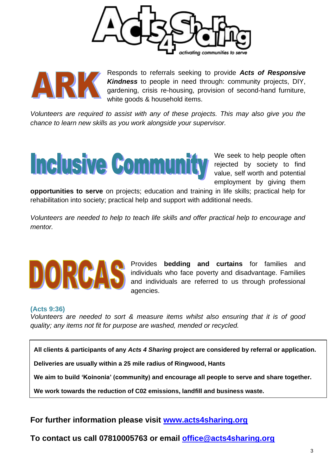



Responds to referrals seeking to provide *Acts of Responsive Kindness* to people in need through: community projects, DIY, gardening, crisis re-housing, provision of second-hand furniture, white goods & household items.

*Volunteers are required to assist with any of these projects. This may also give you the chance to learn new skills as you work alongside your supervisor.*



We seek to help people often rejected by society to find value, self worth and potential employment by giving them

**opportunities to serve** on projects; education and training in life skills; practical help for rehabilitation into society; practical help and support with additional needs.

*Volunteers are needed to help to teach life skills and offer practical help to encourage and mentor.* 



Provides **bedding and curtains** for families and individuals who face poverty and disadvantage. Families and individuals are referred to us through professional agencies.

#### **(Acts 9:36)**

*Volunteers are needed to sort & measure items whilst also ensuring that it is of good quality; any items not fit for purpose are washed, mended or recycled.*

**All clients & participants of any** *Acts 4 Sharing* **project are considered by referral or application.** 

**Deliveries are usually within a 25 mile radius of Ringwood, Hants** 

**We aim to build 'Koinonia' (community) and encourage all people to serve and share together.**

**We work towards the reduction of C02 emissions, landfill and business waste.** 

**For further information please visit [www.acts4sharing.org](http://www.acts4sharing.org/)**

**To contact us call 07810005763 or email [office@acts4sharing.org](mailto:office@acts4sharing.org)**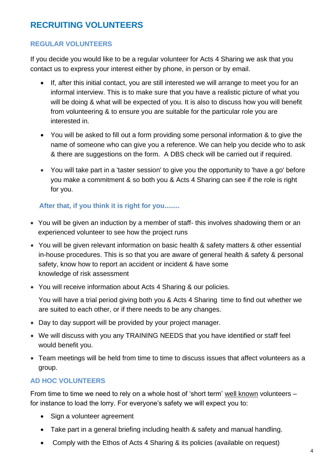# **RECRUITING VOLUNTEERS**

#### **REGULAR VOLUNTEERS**

If you decide you would like to be a regular volunteer for Acts 4 Sharing we ask that you contact us to express your interest either by phone, in person or by email.

- If, after this initial contact, you are still interested we will arrange to meet you for an informal interview. This is to make sure that you have a realistic picture of what you will be doing & what will be expected of you. It is also to discuss how you will benefit from volunteering & to ensure you are suitable for the particular role you are interested in.
- You will be asked to fill out a form providing some personal information & to give the name of someone who can give you a reference. We can help you decide who to ask & there are suggestions on the form. A DBS check will be carried out if required.
- You will take part in a 'taster session' to give you the opportunity to 'have a go' before you make a commitment & so both you & Acts 4 Sharing can see if the role is right for you.

#### **After that, if you think it is right for you........**

- You will be given an induction by a member of staff- this involves shadowing them or an experienced volunteer to see how the project runs
- You will be given relevant information on basic health & safety matters & other essential in-house procedures. This is so that you are aware of general health & safety & personal safety, know how to report an accident or incident & have some knowledge of risk assessment
- You will receive information about Acts 4 Sharing & our policies.

You will have a trial period giving both you & Acts 4 Sharing time to find out whether we are suited to each other, or if there needs to be any changes.

- Day to day support will be provided by your project manager.
- We will discuss with you any TRAINING NEEDS that you have identified or staff feel would benefit you.
- Team meetings will be held from time to time to discuss issues that affect volunteers as a group.

#### **AD HOC VOLUNTEERS**

From time to time we need to rely on a whole host of 'short term' well known volunteers – for instance to load the lorry. For everyone's safety we will expect you to:

- Sign a volunteer agreement
- Take part in a general briefing including health & safety and manual handling.
- Comply with the Ethos of Acts 4 Sharing & its policies (available on request)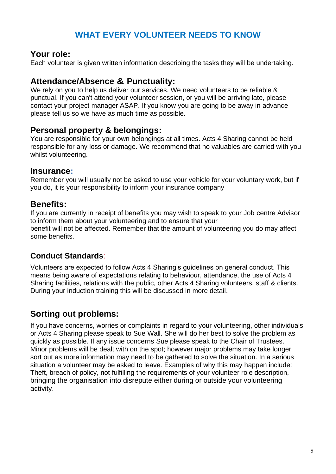# **WHAT EVERY VOLUNTEER NEEDS TO KNOW**

#### **Your role:**

Each volunteer is given written information describing the tasks they will be undertaking.

#### **Attendance/Absence & Punctuality:**

We rely on you to help us deliver our services. We need volunteers to be reliable & punctual. If you can't attend your volunteer session, or you will be arriving late, please contact your project manager ASAP. If you know you are going to be away in advance please tell us so we have as much time as possible.

#### **Personal property & belongings:**

You are responsible for your own belongings at all times. Acts 4 Sharing cannot be held responsible for any loss or damage. We recommend that no valuables are carried with you whilst volunteering.

#### **Insurance:**

Remember you will usually not be asked to use your vehicle for your voluntary work, but if you do, it is your responsibility to inform your insurance company

#### **Benefits:**

If you are currently in receipt of benefits you may wish to speak to your Job centre Advisor to inform them about your volunteering and to ensure that your benefit will not be affected. Remember that the amount of volunteering you do may affect some benefits.

#### **Conduct Standards**:

Volunteers are expected to follow Acts 4 Sharing's guidelines on general conduct. This means being aware of expectations relating to behaviour, attendance, the use of Acts 4 Sharing facilities, relations with the public, other Acts 4 Sharing volunteers, staff & clients. During your induction training this will be discussed in more detail.

# **Sorting out problems:**

If you have concerns, worries or complaints in regard to your volunteering, other individuals or Acts 4 Sharing please speak to Sue Wall. She will do her best to solve the problem as quickly as possible. If any issue concerns Sue please speak to the Chair of Trustees. Minor problems will be dealt with on the spot; however major problems may take longer sort out as more information may need to be gathered to solve the situation. In a serious situation a volunteer may be asked to leave. Examples of why this may happen include: Theft, breach of policy, not fulfilling the requirements of your volunteer role description, bringing the organisation into disrepute either during or outside your volunteering activity.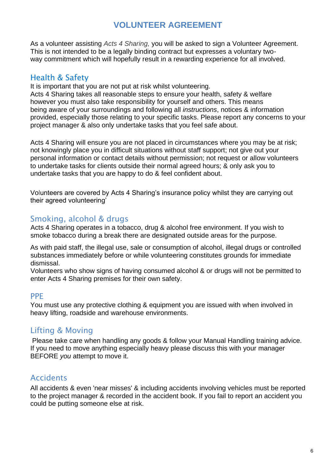# **VOLUNTEER AGREEMENT**

As a volunteer assisting *Acts 4 Sharing,* you will be asked to sign a Volunteer Agreement. This is not intended to be a legally binding contract but expresses a voluntary twoway commitment which will hopefully result in a rewarding experience for all involved.

#### Health & Safety

It is important that you are not put at risk whilst volunteering. Acts 4 Sharing takes all reasonable steps to ensure your health, safety & welfare however you must also take responsibility for yourself and others. This means being aware of your surroundings and following all *instructions*, notices & information provided, especially those relating to your specific tasks. Please report any concerns to your project manager & also only undertake tasks that you feel safe about.

Acts 4 Sharing will ensure you are not placed in circumstances where you may be at risk; not knowingly place you in difficult situations without staff support; not give out your personal information or contact details without permission; not request or allow volunteers to undertake tasks for clients outside their normal agreed hours; & only ask you to undertake tasks that you are happy to do & feel confident about.

Volunteers are covered by Acts 4 Sharing's insurance policy whilst they are carrying out their agreed volunteering'

## Smoking, alcohol & drugs

Acts 4 Sharing operates in a tobacco, drug & alcohol free environment. If you wish to smoke tobacco during a break there are designated outside areas for the purpose.

As with paid staff, the illegal use, sale or consumption of alcohol, illegal drugs or controlled substances immediately before or while volunteering constitutes grounds for immediate dismissal.

Volunteers who show signs of having consumed alcohol & or drugs will not be permitted to enter Acts 4 Sharing premises for their own safety.

#### PPE

You must use any protective clothing & equipment you are issued with when involved in heavy lifting, roadside and warehouse environments.

## Lifting & Moving

Please take care when handling any goods & follow your Manual Handling training advice. If you need to move anything especially heavy please discuss this with your manager BEFORE *you* attempt to move it.

## **Accidents**

All accidents & even 'near misses' & including accidents involving vehicles must be reported to the project manager & recorded in the accident book. If you fail to report an accident you could be putting someone else at risk.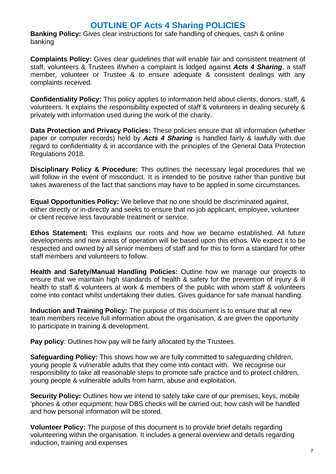# **OUTLINE OF Acts 4 Sharing POLICIES**

**Banking Policy:** Gives clear instructions for safe handling of cheques, cash & online banking

**Complaints Policy:** Gives clear guidelines that will enable fair and consistent treatment of staff, volunteers & Trustees if/when a complaint is lodged against *Acts 4 Sharing*, a staff member, volunteer or Trustee & to ensure adequate & consistent dealings with any complaints received.

**Confidentiality Policy:** This policy applies to information held about clients, donors, staff, & volunteers. It explains the responsibility expected of staff & volunteers in dealing securely & privately with information used during the work of the charity.

**Data Protection and Privacy Policies:** These policies ensure that all information (whether paper or computer records) held by *Acts 4 Sharing* is handled fairly & lawfully with due regard to confidentiality & in accordance with the principles of the General Data Protection Regulations 2018.

**Disciplinary Policy & Procedure:** This outlines the necessary legal procedures that we will follow in the event of misconduct. It is intended to be positive rather than punitive but takes awareness of the fact that sanctions may have to be applied in some circumstances.

**Equal Opportunities Policy:** We believe that no one should be discriminated against, either directly or in-directly and seeks to ensure that no job applicant, employee, volunteer or client receive less favourable treatment or service.

**Ethos Statement:** This explains our roots and how we became established. All future developments and new areas of operation will be based upon this ethos. We expect it to be respected and owned by all senior members of staff and for this to form a standard for other staff members and volunteers to follow.

**Health and Safety/Manual Handling Policies:** Outline how we manage our projects to ensure that we maintain high standards of health & safety for the prevention of injury & ill health to staff & volunteers at work & members of the public with whom staff & volunteers come into contact whilst undertaking their duties. Gives guidance for safe manual handling.

**Induction and Training Policy:** The purpose of this document is to ensure that all new team members receive full information about the organisation, & are given the opportunity to participate in training & development.

**Pay policy:** Outlines how pay will be fairly allocated by the Trustees.

**Safeguarding Policy:** This shows how we are fully committed to safeguarding children, young people & vulnerable adults that they come into contact with. We recognise our responsibility to take all reasonable steps to promote safe practice and to protect children, young people & vulnerable adults from harm, abuse and exploitation.

**Security Policy:** Outlines how we intend to safely take care of our premises, keys, mobile 'phones & other equipment; how DBS checks will be carried out; how cash will be handled and how personal information will be stored.

**Volunteer Policy:** The purpose of this document is to provide brief details regarding volunteering within the organisation. It includes a general overview and details regarding induction, training and expenses